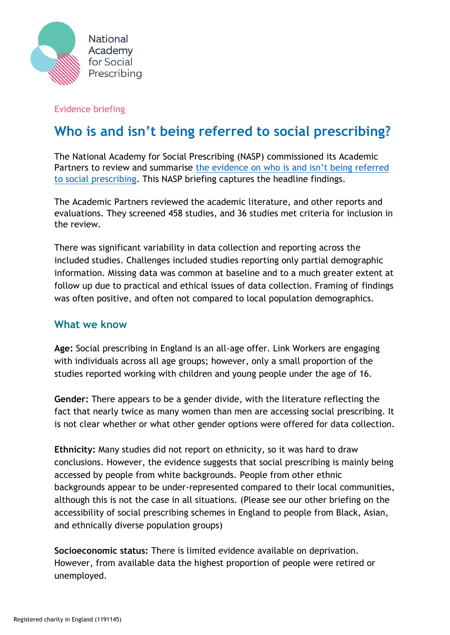

### Evidence briefing

# **Who is and isn't being referred to social prescribing?**

The National Academy for Social Prescribing (NASP) commissioned its Academic Partners to review and summarise the evidence on who is and isn't being referred [to social prescribing.](https://socialprescribingacademy.org.uk/wp-content/uploads/2022/03/Evidence-summary-social-prescribing-referral-.pdf) This NASP briefing captures the headline findings.

The Academic Partners reviewed the academic literature, and other reports and evaluations. They screened 458 studies, and 36 studies met criteria for inclusion in the review.

There was significant variability in data collection and reporting across the included studies. Challenges included studies reporting only partial demographic information. Missing data was common at baseline and to a much greater extent at follow up due to practical and ethical issues of data collection. Framing of findings was often positive, and often not compared to local population demographics.

# **What we know**

**Age:** Social prescribing in England is an all-age offer. Link Workers are engaging with individuals across all age groups; however, only a small proportion of the studies reported working with children and young people under the age of 16.

**Gender:** There appears to be a gender divide, with the literature reflecting the fact that nearly twice as many women than men are accessing social prescribing. It is not clear whether or what other gender options were offered for data collection.

**Ethnicity:** Many studies did not report on ethnicity, so it was hard to draw conclusions. However, the evidence suggests that social prescribing is mainly being accessed by people from white backgrounds. People from other ethnic backgrounds appear to be under-represented compared to their local communities, although this is not the case in all situations. (Please see our other briefing on the accessibility of social prescribing schemes in England to people from Black, Asian, and ethnically diverse population groups)

**Socioeconomic status:** There is limited evidence available on deprivation. However, from available data the highest proportion of people were retired or unemployed.